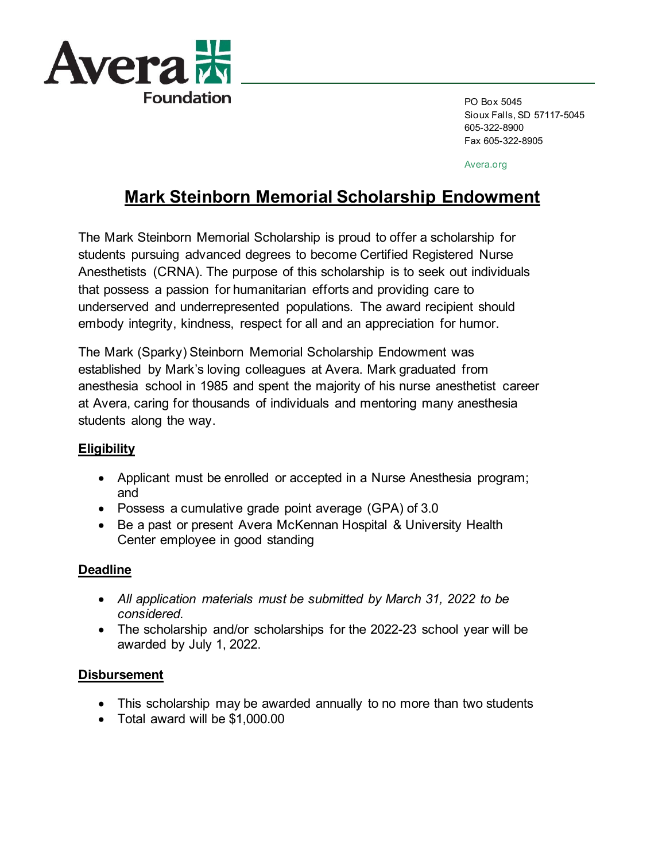

PO Box 5045 Sioux Falls, SD 57117-5045 605-322-8900 Fax 605-322-8905

Avera.org

# **Mark Steinborn Memorial Scholarship Endowment**

The Mark Steinborn Memorial Scholarship is proud to offer a scholarship for students pursuing advanced degrees to become Certified Registered Nurse Anesthetists (CRNA). The purpose of this scholarship is to seek out individuals that possess a passion for humanitarian efforts and providing care to underserved and underrepresented populations. The award recipient should embody integrity, kindness, respect for all and an appreciation for humor.

The Mark (Sparky) Steinborn Memorial Scholarship Endowment was established by Mark's loving colleagues at Avera. Mark graduated from anesthesia school in 1985 and spent the majority of his nurse anesthetist career at Avera, caring for thousands of individuals and mentoring many anesthesia students along the way.

### **Eligibility**

- Applicant must be enrolled or accepted in a Nurse Anesthesia program; and
- Possess a cumulative grade point average (GPA) of 3.0
- Be a past or present Avera McKennan Hospital & University Health Center employee in good standing

## **Deadline**

- *All application materials must be submitted by March 31, 2022 to be considered.*
- The scholarship and/or scholarships for the 2022-23 school year will be awarded by July 1, 2022.

### **Disbursement**

- This scholarship may be awarded annually to no more than two students
- Total award will be \$1,000.00